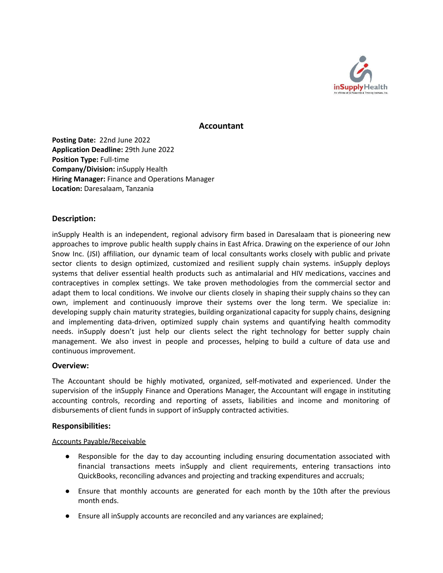

## **Accountant**

**Posting Date:** 22nd June 2022 **Application Deadline:** 29th June 2022 **Position Type:** Full-time **Company/Division:** inSupply Health **Hiring Manager:** Finance and Operations Manager **Location:** Daresalaam, Tanzania

## **Description:**

inSupply Health is an independent, regional advisory firm based in Daresalaam that is pioneering new approaches to improve public health supply chains in East Africa. Drawing on the experience of our John Snow Inc. (JSI) affiliation, our dynamic team of local consultants works closely with public and private sector clients to design optimized, customized and resilient supply chain systems. inSupply deploys systems that deliver essential health products such as antimalarial and HIV medications, vaccines and contraceptives in complex settings. We take proven methodologies from the commercial sector and adapt them to local conditions. We involve our clients closely in shaping their supply chains so they can own, implement and continuously improve their systems over the long term. We specialize in: developing supply chain maturity strategies, building organizational capacity for supply chains, designing and implementing data-driven, optimized supply chain systems and quantifying health commodity needs. inSupply doesn't just help our clients select the right technology for better supply chain management. We also invest in people and processes, helping to build a culture of data use and continuous improvement.

## **Overview:**

The Accountant should be highly motivated, organized, self-motivated and experienced. Under the supervision of the inSupply Finance and Operations Manager, the Accountant will engage in instituting accounting controls, recording and reporting of assets, liabilities and income and monitoring of disbursements of client funds in support of inSupply contracted activities.

## **Responsibilities:**

## Accounts Payable/Receivable

- Responsible for the day to day accounting including ensuring documentation associated with financial transactions meets inSupply and client requirements, entering transactions into QuickBooks, reconciling advances and projecting and tracking expenditures and accruals;
- Ensure that monthly accounts are generated for each month by the 10th after the previous month ends.
- Ensure all inSupply accounts are reconciled and any variances are explained;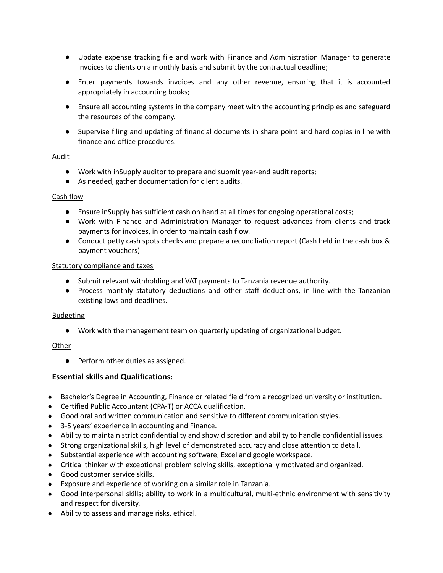- Update expense tracking file and work with Finance and Administration Manager to generate invoices to clients on a monthly basis and submit by the contractual deadline;
- Enter payments towards invoices and any other revenue, ensuring that it is accounted appropriately in accounting books;
- Ensure all accounting systems in the company meet with the accounting principles and safeguard the resources of the company.
- Supervise filing and updating of financial documents in share point and hard copies in line with finance and office procedures.

## Audit

- Work with inSupply auditor to prepare and submit year-end audit reports;
- As needed, gather documentation for client audits.

## Cash flow

- Ensure inSupply has sufficient cash on hand at all times for ongoing operational costs;
- Work with Finance and Administration Manager to request advances from clients and track payments for invoices, in order to maintain cash flow.
- Conduct petty cash spots checks and prepare a reconciliation report (Cash held in the cash box & payment vouchers)

## Statutory compliance and taxes

- Submit relevant withholding and VAT payments to Tanzania revenue authority.
- Process monthly statutory deductions and other staff deductions, in line with the Tanzanian existing laws and deadlines.

## Budgeting

● Work with the management team on quarterly updating of organizational budget.

## **Other**

● Perform other duties as assigned.

# **Essential skills and Qualifications:**

- Bachelor's Degree in Accounting, Finance or related field from a recognized university or institution.
- Certified Public Accountant (CPA-T) or ACCA qualification.
- Good oral and written communication and sensitive to different communication styles.
- 3-5 years' experience in accounting and Finance.
- Ability to maintain strict confidentiality and show discretion and ability to handle confidential issues.
- Strong organizational skills, high level of demonstrated accuracy and close attention to detail.
- Substantial experience with accounting software, Excel and google workspace.
- Critical thinker with exceptional problem solving skills, exceptionally motivated and organized.
- Good customer service skills.
- Exposure and experience of working on a similar role in Tanzania.
- Good interpersonal skills; ability to work in a multicultural, multi-ethnic environment with sensitivity and respect for diversity.
- Ability to assess and manage risks, ethical.